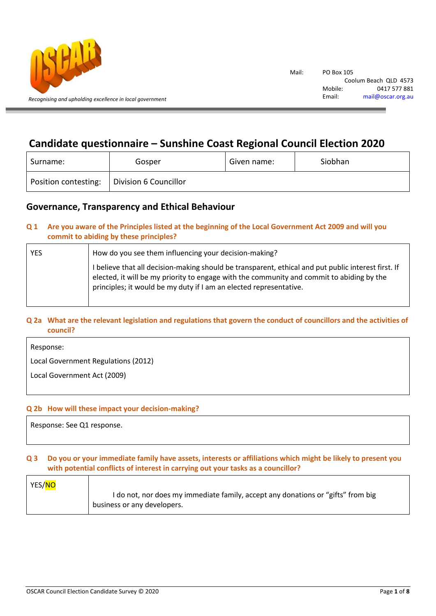

# **Candidate questionnaire – Sunshine Coast Regional Council Election 2020**

| Surname:             | Gosper                | Given name: | Siobhan |
|----------------------|-----------------------|-------------|---------|
| Position contesting: | Division 6 Councillor |             |         |

## **Governance, Transparency and Ethical Behaviour**

## **Q 1 Are you aware of the Principles listed at the beginning of the Local Government Act 2009 and will you commit to abiding by these principles?**

| YES | How do you see them influencing your decision-making?                                                                                                                                                                                                                  |  |
|-----|------------------------------------------------------------------------------------------------------------------------------------------------------------------------------------------------------------------------------------------------------------------------|--|
|     | I believe that all decision-making should be transparent, ethical and put public interest first. If<br>elected, it will be my priority to engage with the community and commit to abiding by the<br>principles; it would be my duty if I am an elected representative. |  |

## **Q 2a What are the relevant legislation and regulations that govern the conduct of councillors and the activities of council?**

Response:

Local Government Regulations (2012)

Local Government Act (2009)

## **Q 2b How will these impact your decision-making?**

Response: See Q1 response.

## **Q 3 Do you or your immediate family have assets, interests or affiliations which might be likely to present you with potential conflicts of interest in carrying out your tasks as a councillor?**

| YES/ <mark>NO</mark> |                                                                                  |
|----------------------|----------------------------------------------------------------------------------|
|                      | I do not, nor does my immediate family, accept any donations or "gifts" from big |
|                      | business or any developers.                                                      |
|                      |                                                                                  |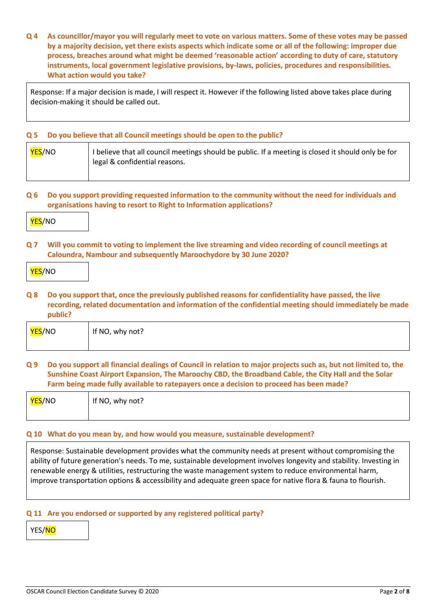**Q 4 As councillor/mayor you will regularly meet to vote on various matters. Some of these votes may be passed by a majority decision, yet there exists aspects which indicate some or all of the following: improper due process, breaches around what might be deemed 'reasonable action' according to duty of care, statutory instruments, local government legislative provisions, by-laws, policies, procedures and responsibilities. What action would you take?**

Response: If a major decision is made, I will respect it. However if the following listed above takes place during decision-making it should be called out.

#### **Q 5 Do you believe that all Council meetings should be open to the public?**

| <b>YES/NO</b> | I believe that all council meetings should be public. If a meeting is closed it should only be for |
|---------------|----------------------------------------------------------------------------------------------------|
|               | legal & confidential reasons.                                                                      |
|               |                                                                                                    |

**Q 6 Do you support providing requested information to the community without the need for individuals and organisations having to resort to Right to Information applications?**



**Q 7 Will you commit to voting to implement the live streaming and video recording of council meetings at Caloundra, Nambour and subsequently Maroochydore by 30 June 2020?**

|--|

**Q 8 Do you support that, once the previously published reasons for confidentiality have passed, the live recording, related documentation and information of the confidential meeting should immediately be made public?**

| <mark>YES</mark> /NO | If NO, why not? |
|----------------------|-----------------|
|                      |                 |

## **Q 9 Do you support all financial dealings of Council in relation to major projects such as, but not limited to, the Sunshine Coast Airport Expansion, The Maroochy CBD, the Broadband Cable, the City Hall and the Solar Farm being made fully available to ratepayers once a decision to proceed has been made?**

| <mark>YES</mark> /NO | If NO, why not? |
|----------------------|-----------------|
|                      |                 |

### **Q 10 What do you mean by, and how would you measure, sustainable development?**

Response: Sustainable development provides what the community needs at present without compromising the ability of future generation's needs. To me, sustainable development involves longevity and stability. Investing in renewable energy & utilities, restructuring the waste management system to reduce environmental harm, improve transportation options & accessibility and adequate green space for native flora & fauna to flourish.

#### **Q 11 Are you endorsed or supported by any registered political party?**

YES/NO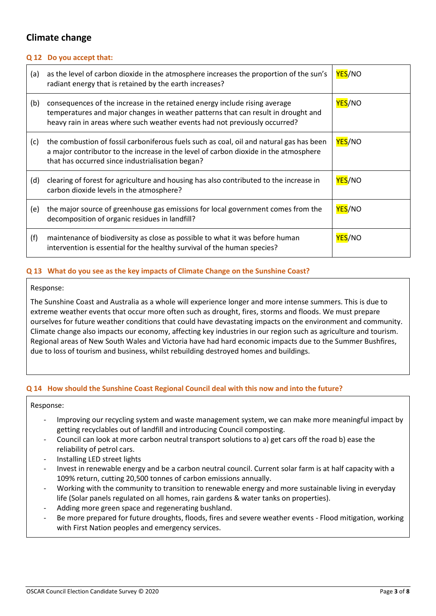# **Climate change**

## **Q 12 Do you accept that:**

| (a) | as the level of carbon dioxide in the atmosphere increases the proportion of the sun's<br>radiant energy that is retained by the earth increases?                                                                                             | YES/NO               |
|-----|-----------------------------------------------------------------------------------------------------------------------------------------------------------------------------------------------------------------------------------------------|----------------------|
| (b) | consequences of the increase in the retained energy include rising average<br>temperatures and major changes in weather patterns that can result in drought and<br>heavy rain in areas where such weather events had not previously occurred? | <b>YES/NO</b>        |
| (c) | the combustion of fossil carboniferous fuels such as coal, oil and natural gas has been<br>a major contributor to the increase in the level of carbon dioxide in the atmosphere<br>that has occurred since industrialisation began?           | <b>YES/NO</b>        |
| (d) | clearing of forest for agriculture and housing has also contributed to the increase in<br>carbon dioxide levels in the atmosphere?                                                                                                            | <b>YES/NO</b>        |
| (e) | the major source of greenhouse gas emissions for local government comes from the<br>decomposition of organic residues in landfill?                                                                                                            | <mark>YES</mark> /NO |
| (f) | maintenance of biodiversity as close as possible to what it was before human<br>intervention is essential for the healthy survival of the human species?                                                                                      | YES/NO               |

## **Q 13 What do you see as the key impacts of Climate Change on the Sunshine Coast?**

#### Response:

The Sunshine Coast and Australia as a whole will experience longer and more intense summers. This is due to extreme weather events that occur more often such as drought, fires, storms and floods. We must prepare ourselves for future weather conditions that could have devastating impacts on the environment and community. Climate change also impacts our economy, affecting key industries in our region such as agriculture and tourism. Regional areas of New South Wales and Victoria have had hard economic impacts due to the Summer Bushfires, due to loss of tourism and business, whilst rebuilding destroyed homes and buildings.

### **Q 14 How should the Sunshine Coast Regional Council deal with this now and into the future?**

Response:

- Improving our recycling system and waste management system, we can make more meaningful impact by getting recyclables out of landfill and introducing Council composting.
- Council can look at more carbon neutral transport solutions to a) get cars off the road b) ease the reliability of petrol cars.
- Installing LED street lights
- Invest in renewable energy and be a carbon neutral council. Current solar farm is at half capacity with a 109% return, cutting 20,500 tonnes of carbon emissions annually.
- Working with the community to transition to renewable energy and more sustainable living in everyday life (Solar panels regulated on all homes, rain gardens & water tanks on properties).
- Adding more green space and regenerating bushland.
- Be more prepared for future droughts, floods, fires and severe weather events Flood mitigation, working with First Nation peoples and emergency services.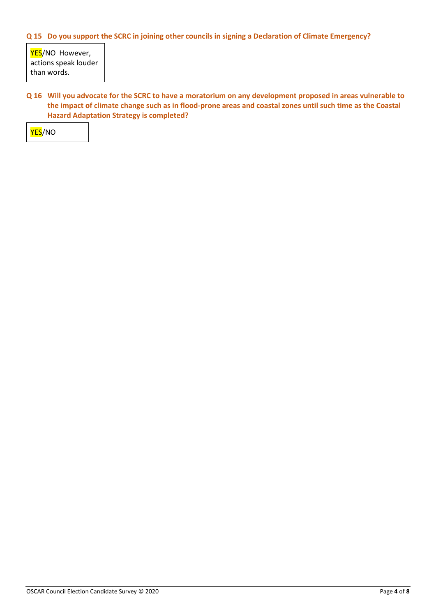## **Q 15 Do you support the SCRC in joining other councils in signing a Declaration of Climate Emergency?**

YES/NO However, actions speak louder than words.

**Q 16 Will you advocate for the SCRC to have a moratorium on any development proposed in areas vulnerable to the impact of climate change such as in flood-prone areas and coastal zones until such time as the Coastal Hazard Adaptation Strategy is completed?**

YES/NO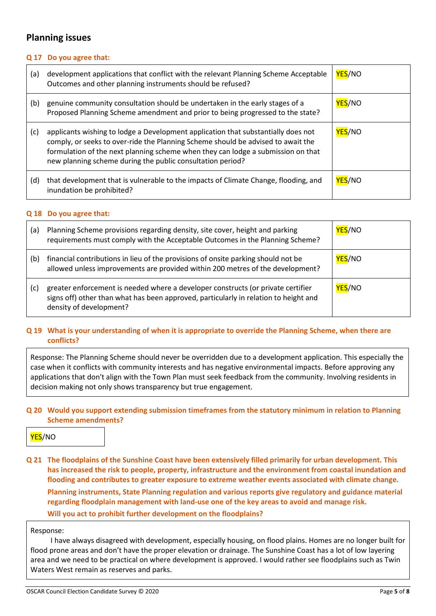## **Planning issues**

### **Q 17 Do you agree that:**

| (a) | development applications that conflict with the relevant Planning Scheme Acceptable<br>Outcomes and other planning instruments should be refused?                                                                                                                                                                       | <b>YES/NO</b> |
|-----|-------------------------------------------------------------------------------------------------------------------------------------------------------------------------------------------------------------------------------------------------------------------------------------------------------------------------|---------------|
| (b) | genuine community consultation should be undertaken in the early stages of a<br>Proposed Planning Scheme amendment and prior to being progressed to the state?                                                                                                                                                          | <b>YES/NO</b> |
| (c) | applicants wishing to lodge a Development application that substantially does not<br>comply, or seeks to over-ride the Planning Scheme should be advised to await the<br>formulation of the next planning scheme when they can lodge a submission on that<br>new planning scheme during the public consultation period? | <b>YES/NO</b> |
| (d) | that development that is vulnerable to the impacts of Climate Change, flooding, and<br>inundation be prohibited?                                                                                                                                                                                                        | <b>YES/NO</b> |

### **Q 18 Do you agree that:**

| (a) | Planning Scheme provisions regarding density, site cover, height and parking<br>requirements must comply with the Acceptable Outcomes in the Planning Scheme?                                       | YES/NO        |
|-----|-----------------------------------------------------------------------------------------------------------------------------------------------------------------------------------------------------|---------------|
| (b) | financial contributions in lieu of the provisions of onsite parking should not be<br>allowed unless improvements are provided within 200 metres of the development?                                 | <b>YES/NO</b> |
| (c) | greater enforcement is needed where a developer constructs (or private certifier<br>signs off) other than what has been approved, particularly in relation to height and<br>density of development? | <b>YES/NO</b> |

## **Q 19 What is your understanding of when it is appropriate to override the Planning Scheme, when there are conflicts?**

Response: The Planning Scheme should never be overridden due to a development application. This especially the case when it conflicts with community interests and has negative environmental impacts. Before approving any applications that don't align with the Town Plan must seek feedback from the community. Involving residents in decision making not only shows transparency but true engagement.

## **Q 20 Would you support extending submission timeframes from the statutory minimum in relation to Planning Scheme amendments?**

## YES/NO

**Q 21 The floodplains of the Sunshine Coast have been extensively filled primarily for urban development. This has increased the risk to people, property, infrastructure and the environment from coastal inundation and flooding and contributes to greater exposure to extreme weather events associated with climate change. Planning instruments, State Planning regulation and various reports give regulatory and guidance material regarding floodplain management with land-use one of the key areas to avoid and manage risk. Will you act to prohibit further development on the floodplains?**

### Response:

 I have always disagreed with development, especially housing, on flood plains. Homes are no longer built for flood prone areas and don't have the proper elevation or drainage. The Sunshine Coast has a lot of low layering area and we need to be practical on where development is approved. I would rather see floodplains such as Twin Waters West remain as reserves and parks.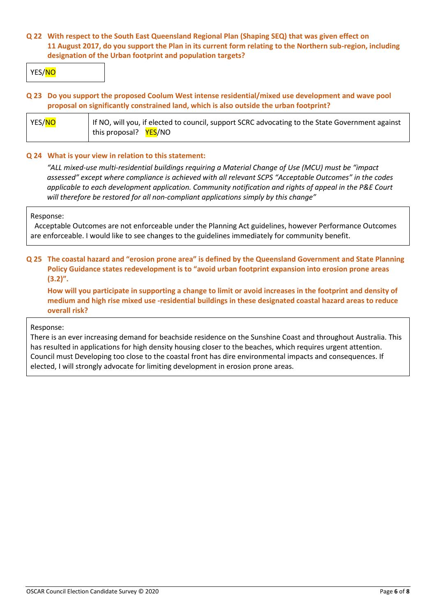## **Q 22 With respect to the South East Queensland Regional Plan (Shaping SEQ) that was given effect on 11 August 2017, do you support the Plan in its current form relating to the Northern sub-region, including designation of the Urban footprint and population targets?**

YES/NO

## **Q 23 Do you support the proposed Coolum West intense residential/mixed use development and wave pool proposal on significantly constrained land, which is also outside the urban footprint?**

| YES/NO | If NO, will you, if elected to council, support SCRC advocating to the State Government against |  |
|--------|-------------------------------------------------------------------------------------------------|--|
|        | this proposal? YES/NO                                                                           |  |

### **Q 24 What is your view in relation to this statement:**

*"ALL mixed-use multi-residential buildings requiring a Material Change of Use (MCU) must be "impact assessed" except where compliance is achieved with all relevant SCPS "Acceptable Outcomes" in the codes applicable to each development application. Community notification and rights of appeal in the P&E Court will therefore be restored for all non-compliant applications simply by this change"*

### Response:

Acceptable Outcomes are not enforceable under the Planning Act guidelines, however Performance Outcomes are enforceable. I would like to see changes to the guidelines immediately for community benefit.

## **Q 25 The coastal hazard and "erosion prone area" is defined by the Queensland Government and State Planning Policy Guidance states redevelopment is to "avoid urban footprint expansion into erosion prone areas (3.2)".**

**How will you participate in supporting a change to limit or avoid increases in the footprint and density of medium and high rise mixed use -residential buildings in these designated coastal hazard areas to reduce overall risk?**

### Response:

There is an ever increasing demand for beachside residence on the Sunshine Coast and throughout Australia. This has resulted in applications for high density housing closer to the beaches, which requires urgent attention. Council must Developing too close to the coastal front has dire environmental impacts and consequences. If elected, I will strongly advocate for limiting development in erosion prone areas.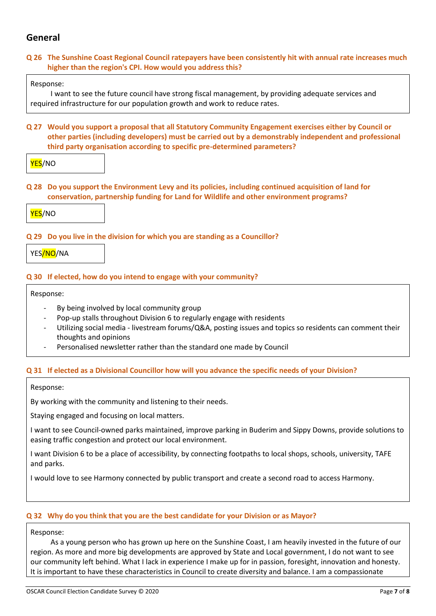# **General**

## **Q 26 The Sunshine Coast Regional Council ratepayers have been consistently hit with annual rate increases much higher than the region's CPI. How would you address this?**

## Response:

 I want to see the future council have strong fiscal management, by providing adequate services and required infrastructure for our population growth and work to reduce rates.

**Q 27 Would you support a proposal that all Statutory Community Engagement exercises either by Council or other parties (including developers) must be carried out by a demonstrably independent and professional third party organisation according to specific pre-determined parameters?**

YES/NO

**Q 28 Do you support the Environment Levy and its policies, including continued acquisition of land for conservation, partnership funding for Land for Wildlife and other environment programs?**



## **Q 29 Do you live in the division for which you are standing as a Councillor?**

YES/NO/NA

## **Q 30 If elected, how do you intend to engage with your community?**

Response:

- By being involved by local community group
- Pop-up stalls throughout Division 6 to regularly engage with residents
- Utilizing social media livestream forums/Q&A, posting issues and topics so residents can comment their thoughts and opinions
- Personalised newsletter rather than the standard one made by Council

### **Q 31 If elected as a Divisional Councillor how will you advance the specific needs of your Division?**

Response:

By working with the community and listening to their needs.

Staying engaged and focusing on local matters.

I want to see Council-owned parks maintained, improve parking in Buderim and Sippy Downs, provide solutions to easing traffic congestion and protect our local environment.

I want Division 6 to be a place of accessibility, by connecting footpaths to local shops, schools, university, TAFE and parks.

I would love to see Harmony connected by public transport and create a second road to access Harmony.

### **Q 32 Why do you think that you are the best candidate for your Division or as Mayor?**

Response:

 As a young person who has grown up here on the Sunshine Coast, I am heavily invested in the future of our region. As more and more big developments are approved by State and Local government, I do not want to see our community left behind. What I lack in experience I make up for in passion, foresight, innovation and honesty. It is important to have these characteristics in Council to create diversity and balance. I am a compassionate